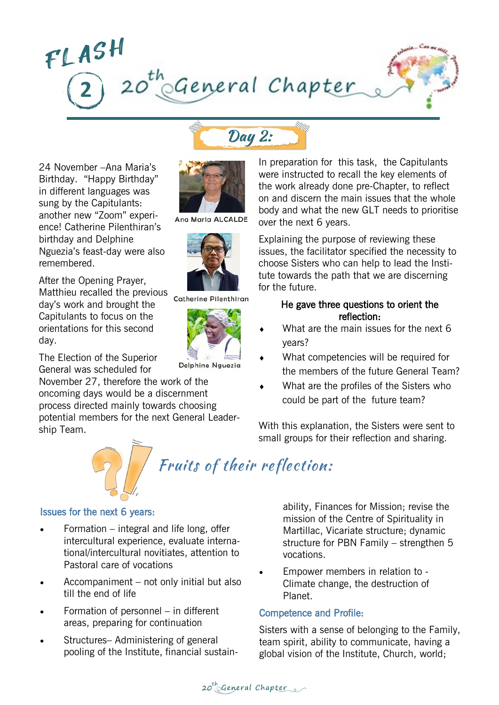

Day 2:

24 November –Ana Maria's Birthday. "Happy Birthday" in different languages was sung by the Capitulants: another new "Zoom" experience! Catherine Pilenthiran's birthday and Delphine Nguezia's feast-day were also remembered.

After the Opening Prayer, Matthieu recalled the previous day's work and brought the Capitulants to focus on the orientations for this second day.

The Election of the Superior General was scheduled for

November 27, therefore the work of the oncoming days would be a discernment process directed mainly towards choosing potential members for the next General Leadership Team.



Ang Maria ALCALDE



Catherine Pilenthiran



Delphine Nguezia

In preparation for this task, the Capitulants were instructed to recall the key elements of the work already done pre-Chapter, to reflect on and discern the main issues that the whole body and what the new GLT needs to prioritise over the next 6 years.

Explaining the purpose of reviewing these issues, the facilitator specified the necessity to choose Sisters who can help to lead the Institute towards the path that we are discerning for the future.

### He gave three questions to orient the reflection:

- What are the main issues for the next 6 years?
- What competencies will be required for the members of the future General Team?
- What are the profiles of the Sisters who could be part of the future team?

With this explanation, the Sisters were sent to small groups for their reflection and sharing.



#### Issues for the next 6 years:

- Formation integral and life long, offer intercultural experience, evaluate international/intercultural novitiates, attention to Pastoral care of vocations
- Accompaniment not only initial but also till the end of life
- Formation of personnel in different areas, preparing for continuation
- Structures– Administering of general pooling of the Institute, financial sustain-

ability, Finances for Mission; revise the mission of the Centre of Spirituality in Martillac, Vicariate structure; dynamic structure for PBN Family – strengthen 5 vocations.

 Empower members in relation to - Climate change, the destruction of Planet.

## Competence and Profile:

Sisters with a sense of belonging to the Family, team spirit, ability to communicate, having a global vision of the Institute, Church, world;

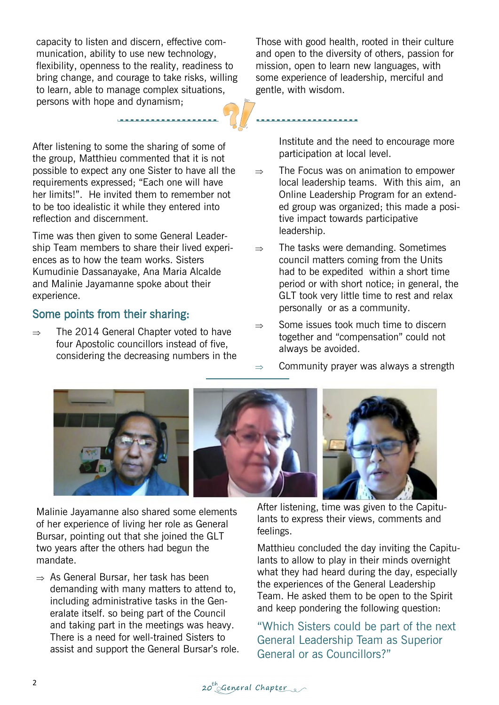capacity to listen and discern, effective communication, ability to use new technology, flexibility, openness to the reality, readiness to bring change, and courage to take risks, willing to learn, able to manage complex situations, persons with hope and dynamism;

After listening to some the sharing of some of the group, Matthieu commented that it is not possible to expect any one Sister to have all the requirements expressed; "Each one will have her limits!". He invited them to remember not to be too idealistic it while they entered into reflection and discernment.

Time was then given to some General Leadership Team members to share their lived experiences as to how the team works. Sisters Kumudinie Dassanayake, Ana Maria Alcalde and Malinie Jayamanne spoke about their experience.

# Some points from their sharing:

 $\Rightarrow$  The 2014 General Chapter voted to have four Apostolic councillors instead of five, considering the decreasing numbers in the Those with good health, rooted in their culture and open to the diversity of others, passion for mission, open to learn new languages, with some experience of leadership, merciful and gentle, with wisdom.

> Institute and the need to encourage more participation at local level.

- $\Rightarrow$  The Focus was on animation to empower local leadership teams. With this aim, an Online Leadership Program for an extended group was organized; this made a positive impact towards participative leadership.
- $\Rightarrow$  The tasks were demanding. Sometimes council matters coming from the Units had to be expedited within a short time period or with short notice; in general, the GLT took very little time to rest and relax personally or as a community.
- $\Rightarrow$  Some issues took much time to discern together and "compensation" could not always be avoided.
- Community prayer was always a strength



Malinie Jayamanne also shared some elements of her experience of living her role as General Bursar, pointing out that she joined the GLT two years after the others had begun the mandate.

 $\Rightarrow$  As General Bursar, her task has been demanding with many matters to attend to, including administrative tasks in the Generalate itself. so being part of the Council and taking part in the meetings was heavy. There is a need for well-trained Sisters to assist and support the General Bursar's role.

After listening, time was given to the Capitulants to express their views, comments and feelings.

Matthieu concluded the day inviting the Capitulants to allow to play in their minds overnight what they had heard during the day, especially the experiences of the General Leadership Team. He asked them to be open to the Spirit and keep pondering the following question:

"Which Sisters could be part of the next General Leadership Team as Superior General or as Councillors?"

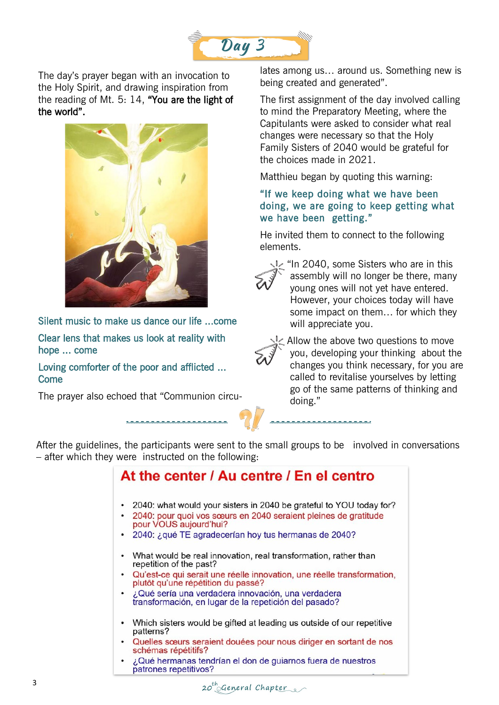

The day's prayer began with an invocation to the Holy Spirit, and drawing inspiration from the reading of Mt. 5: 14, "You are the light of the world".



Silent music to make us dance our life ...come

Clear lens that makes us look at reality with hope ... come

Loving comforter of the poor and afflicted ... **Come** 

The prayer also echoed that "Communion circu-

lates among us… around us. Something new is being created and generated".

The first assignment of the day involved calling to mind the Preparatory Meeting, where the Capitulants were asked to consider what real changes were necessary so that the Holy Family Sisters of 2040 would be grateful for the choices made in 2021.

Matthieu began by quoting this warning:

## "If we keep doing what we have been doing, we are going to keep getting what we have been getting."

He invited them to connect to the following elements.



In 2040, some Sisters who are in this assembly will no longer be there, many young ones will not yet have entered. However, your choices today will have some impact on them… for which they will appreciate you.



Allow the above two questions to move you, developing your thinking about the changes you think necessary, for you are called to revitalise yourselves by letting go of the same patterns of thinking and doing."

After the guidelines, the participants were sent to the small groups to be involved in conversations – after which they were instructed on the following:

### At the center / Au centre / En el centro • 2040: what would your sisters in 2040 be grateful to YOU today for? 2040: pour quoi vos sœurs en 2040 seraient pleines de gratitude pour VOUS aujourd'hui? • 2040: ¿qué TE agradecerían hoy tus hermanas de 2040? What would be real innovation, real transformation, rather than repetition of the past? Qu'est-ce qui serait une réelle innovation, une réelle transformation. plutôt qu'une répétition du passé? ¿Qué sería una verdadera innovación, una verdadera transformación, en lugar de la repetición del pasado? • Which sisters would be gifted at leading us outside of our repetitive patterns? Quelles sœurs seraient douées pour nous diriger en sortant de nos schémas répétitifs? ¿Qué hermanas tendrían el don de guiarnos fuera de nuestros patrones repetitivos?